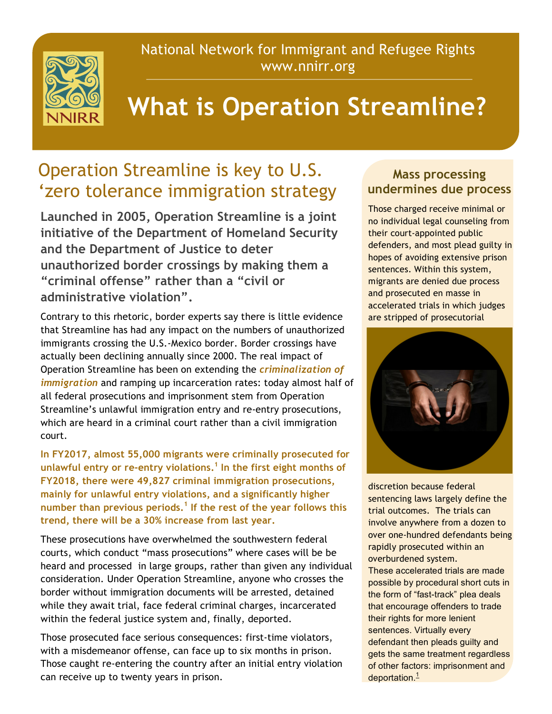National Network for Immigrant and Refugee Rights www.nnirr.org



## **What is Operation Streamline?**

## Operation Streamline is key to U.S. 'zero tolerance immigration strategy

**Launched in 2005, Operation Streamline is a joint initiative of the Department of Homeland Security and the Department of Justice to deter unauthorized border crossings by making them a "criminal offense" rather than a "civil or administrative violation".**

Contrary to this rhetoric, border experts say there is little evidence that Streamline has had any impact on the numbers of unauthorized immigrants crossing the U.S.-Mexico border. Border crossings have actually been declining annually since 2000. The real impact of Operation Streamline has been on extending the *criminalization of immigration* and ramping up incarceration rates: today almost half of all federal prosecutions and imprisonment stem from Operation Streamline's unlawful immigration entry and re-entry prosecutions, which are heard in a criminal court rather than a civil immigration court.

**In FY2017, almost 55,000 migrants were criminally prosecuted for unlawful entry or re-entry violations.1 In the first eight months of FY2018, there were 49,827 criminal immigration prosecutions, mainly for unlawful entry violations, and a significantly higher number than previous periods.<sup>1</sup> If the rest of the year follows this trend, there will be a 30% increase from last year.**

These prosecutions have overwhelmed the southwestern federal courts, which conduct "mass prosecutions" where cases will be be heard and processed in large groups, rather than given any individual consideration. Under Operation Streamline, anyone who crosses the border without immigration documents will be arrested, detained while they await trial, face federal criminal charges, incarcerated within the federal justice system and, finally, deported.

Those prosecuted face serious consequences: first-time violators, with a misdemeanor offense, can face up to six months in prison. Those caught re-entering the country after an initial entry violation can receive up to twenty years in prison.

## **Mass processing undermines due process**

Those charged receive minimal or no individual legal counseling from their court-appointed public defenders, and most plead guilty in hopes of avoiding extensive prison sentences. Within this system, migrants are denied due process and prosecuted en masse in accelerated trials in which judges are stripped of prosecutorial



discretion because federal sentencing laws largely define the trial outcomes. The trials can involve anywhere from a dozen to over one-hundred defendants being rapidly prosecuted within an overburdened system.

These accelerated trials are made possible by procedural short cuts in the form of "fast-track" plea deals that encourage offenders to trade their rights for more lenient sentences. Virtually every defendant then pleads guilty and gets the same treatment regardless of other factors: imprisonment and deportation. $<sup>1</sup>$ </sup>